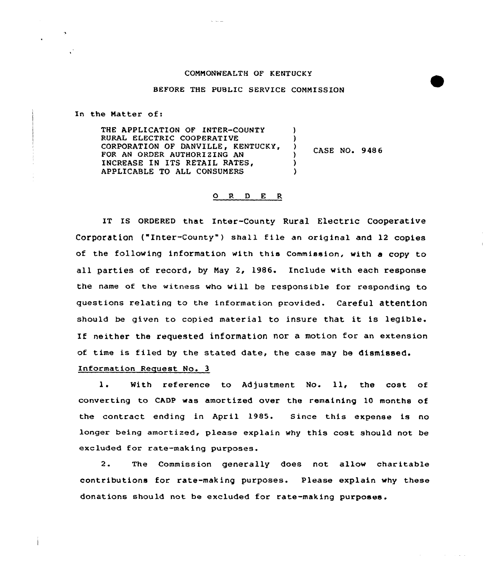## CONNONWEALTH OF KENTUCKY

## BEFORE THE PUBLIC SERVICE COMMISSION

In the Natter of:

THE APPLICATION OF INTER-COUNTY RURAL ELECTRIC COOPERATIVE CORPORATION OF DANVILLE, KENTUCKY, FOR AN ORDER AUTHORIZING AN INCREASE IN ITS RETAIL RATES, APPLICABLE TO ALL CONSUNERS ) ) CASE NQ. 948 6 ) ) )

## 0 R <sup>D</sup> E <sup>R</sup>

IT IS ORDERED that Inter-County Rural Electric Cooperative Corporation ("Inter-County") shall file an original and 12 copies of the fallowing information with this Commission, with a copy to all parties of record, by Nay 2, 1986. Include with each response the name of the witness who will be responsible for responding to questions relatinq to the information provided. Careful attention should be given to copied material to insure that it is legible. If neither the requested information nor a motion for an extension of time is filed by the stated date, the case may be dismissed.

## Information Request No. 3

 $1.$ With reference to Adjustment No. 11, the cost of converting to CADP was amortized over the remaining 10 months of the contract ending in April 1985. Since this expense is no longer being amortized, please explain why this cost should not be excluded for rate-making purposes.

2. The Commission generally does not allow charitable contributions for rate-making purposes. Please explain why these donations should not be excluded for rate-making purposes.

 $\mathcal{L}^{\mathcal{L}}(\mathcal{A})$  and  $\mathcal{L}^{\mathcal{L}}(\mathcal{A})$  and  $\mathcal{L}^{\mathcal{L}}(\mathcal{A})$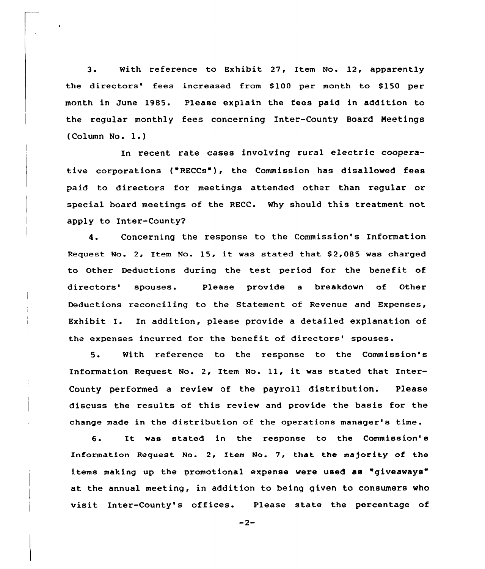3. With reference to Exhibit 27, Item No. 12, apparently the directors' fees increased from \$100 per month to \$150 per month in June 1985. Please explain the fees paid in addition to the regular manthly fees concerning Inter-County Board Neetings (Calumn No. 1.)

In recent rate cases involving rural electric cooperative corporations ("RECCs'), the Commission has disallawed fees paid to directors for meetings attended other than regular or special board meetings of the RECC. Why should this treatment not RECCO'hy apply to Inter-County'.

Concerning the response to the Commission's Information 4. Request No. 2, Item No. 15, it was stated that \$2,085 was charged to Other Deductions during the test period for the benefit of directors' spouses. Please provide a breakdown of Other Deductions reconciling to the Statement of Revenue and Expenses, Exhibit I. In addition, please provide a detailed explanation of the expenses incurred for the benefit of directors' spouses.

5. With reference to the response to the Commission's Information Request No. 2, Item No. 11, it was stated that Inter-County performed a review of the payroll distribution. Please discuss the results af this review and provide the basis for the change made in the distribution of the operations manager's time.

6. It was stated in the response to the Commission' Information Request No. 2, Item No. 7, that the majority of the items making up the promotional expense were used as "giveaways" at the annual meeting, in addition to being given to consumers who visit Inter-County's offices. Please state the percentage of

 $-2-$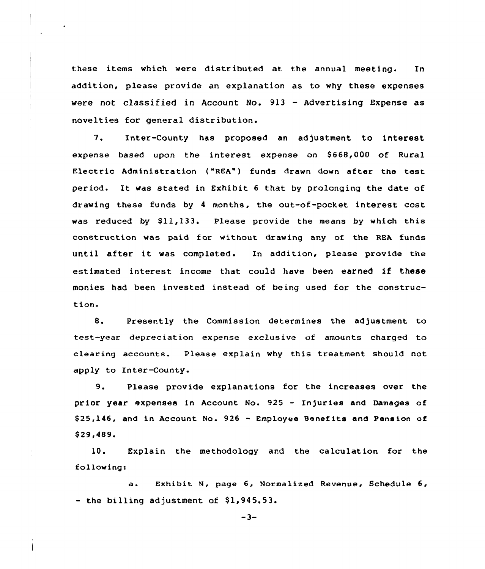these items which were distributed at the annual meeting. In addition, please provide an explanation as to why these expenses were not classified in Account No. 913 — Advertising Expense as novelties for general distribution.

7. Inter-County has proposed an adjustment to interest expense based upon the interest expense on \$668,000 of Rural Electric Administration ("REA") funds drawn down after the test period. It was stated in Exhibit <sup>6</sup> that by prolonging the date of drawing these funds by <sup>4</sup> months, the out-of-pocket interest cost was reduced by \$11,133. Please provide the means by which this construction was paid for without drawing any of the REA funds until after it was completed. In addition, please provide the estimated interest income that could have been earned if these monies had been invested instead of being used for the construc tion.

8. Presently the Commission determines the adjustment to test-year depreciation expense exclusive of amounts charged to clearing accounts. Please explain why this treatment should not apply to Inter-County.

9. Please provide explanations for the increases over the prior year expenses in Account No. 925 - Injuries and Damages of  $$25,146$ , and in Account No.  $926$  - Employee Benefits and Pension of \$ 29,489.

10. Explain the methodology and the calculation for the following:

a. Exhibit N, page 6, Normalized Revenue, Schedule 6,  $-$  the billing adjustment of \$1,945.53.

 $-3-$